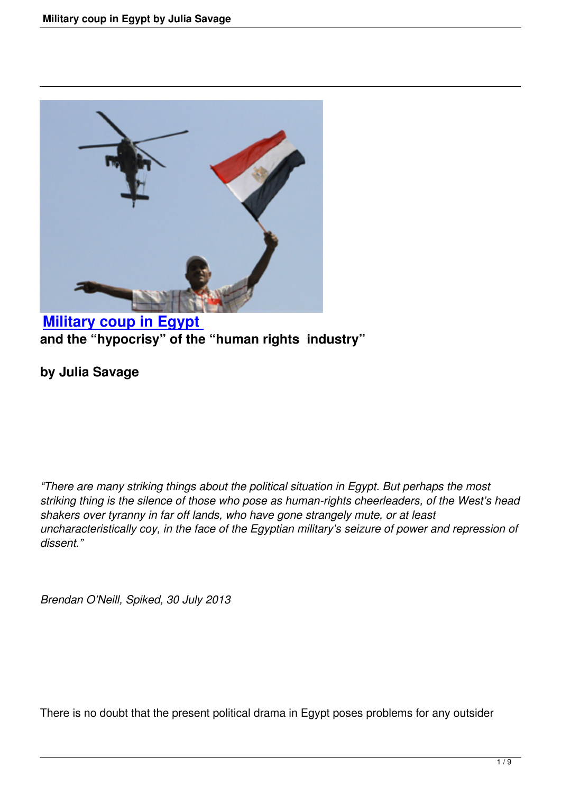

## **Military coup in Egypt and the "hypocrisy" of the "human rights industry"**

## **[by Julia Savage](military-coup-in-egypt.html)**

*"There are many striking things about the political situation in Egypt. But perhaps the most striking thing is the silence of those who pose as human-rights cheerleaders, of the West's head shakers over tyranny in far off lands, who have gone strangely mute, or at least uncharacteristically coy, in the face of the Egyptian military's seizure of power and repression of dissent."* 

*Brendan O'Neill, Spiked, 30 July 2013*

There is no doubt that the present political drama in Egypt poses problems for any outsider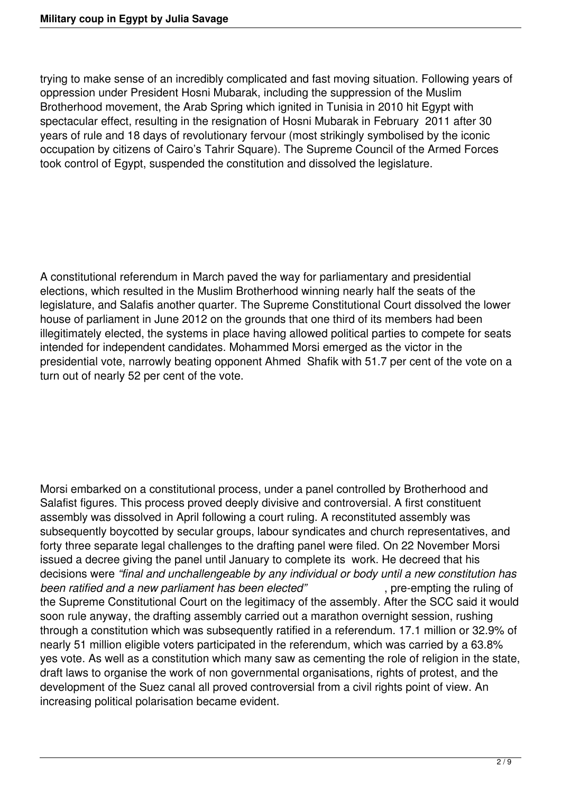trying to make sense of an incredibly complicated and fast moving situation. Following years of oppression under President Hosni Mubarak, including the suppression of the Muslim Brotherhood movement, the Arab Spring which ignited in Tunisia in 2010 hit Egypt with spectacular effect, resulting in the resignation of Hosni Mubarak in February 2011 after 30 years of rule and 18 days of revolutionary fervour (most strikingly symbolised by the iconic occupation by citizens of Cairo's Tahrir Square). The Supreme Council of the Armed Forces took control of Egypt, suspended the constitution and dissolved the legislature.

A constitutional referendum in March paved the way for parliamentary and presidential elections, which resulted in the Muslim Brotherhood winning nearly half the seats of the legislature, and Salafis another quarter. The Supreme Constitutional Court dissolved the lower house of parliament in June 2012 on the grounds that one third of its members had been illegitimately elected, the systems in place having allowed political parties to compete for seats intended for independent candidates. Mohammed Morsi emerged as the victor in the presidential vote, narrowly beating opponent Ahmed Shafik with 51.7 per cent of the vote on a turn out of nearly 52 per cent of the vote.

Morsi embarked on a constitutional process, under a panel controlled by Brotherhood and Salafist figures. This process proved deeply divisive and controversial. A first constituent assembly was dissolved in April following a court ruling. A reconstituted assembly was subsequently boycotted by secular groups, labour syndicates and church representatives, and forty three separate legal challenges to the drafting panel were filed. On 22 November Morsi issued a decree giving the panel until January to complete its work. He decreed that his decisions were *"final and unchallengeable by any individual or body until a new constitution has been ratified and a new parliament has been elected"* , pre-empting the ruling of the Supreme Constitutional Court on the legitimacy of the assembly. After the SCC said it would soon rule anyway, the drafting assembly carried out a marathon overnight session, rushing through a constitution which was subsequently ratified in a referendum. 17.1 million or 32.9% of nearly 51 million eligible voters participated in the referendum, which was carried by a 63.8% yes vote. As well as a constitution which many saw as cementing the role of religion in the state, draft laws to organise the work of non governmental organisations, rights of protest, and the development of the Suez canal all proved controversial from a civil rights point of view. An increasing political polarisation became evident.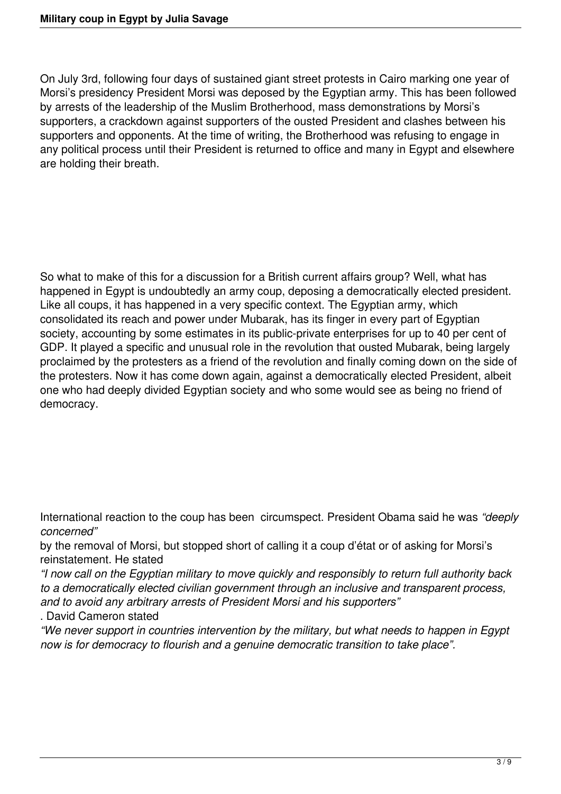On July 3rd, following four days of sustained giant street protests in Cairo marking one year of Morsi's presidency President Morsi was deposed by the Egyptian army. This has been followed by arrests of the leadership of the Muslim Brotherhood, mass demonstrations by Morsi's supporters, a crackdown against supporters of the ousted President and clashes between his supporters and opponents. At the time of writing, the Brotherhood was refusing to engage in any political process until their President is returned to office and many in Egypt and elsewhere are holding their breath.

So what to make of this for a discussion for a British current affairs group? Well, what has happened in Egypt is undoubtedly an army coup, deposing a democratically elected president. Like all coups, it has happened in a very specific context. The Egyptian army, which consolidated its reach and power under Mubarak, has its finger in every part of Egyptian society, accounting by some estimates in its public-private enterprises for up to 40 per cent of GDP. It played a specific and unusual role in the revolution that ousted Mubarak, being largely proclaimed by the protesters as a friend of the revolution and finally coming down on the side of the protesters. Now it has come down again, against a democratically elected President, albeit one who had deeply divided Egyptian society and who some would see as being no friend of democracy.

International reaction to the coup has been circumspect. President Obama said he was *"deeply concerned"*

by the removal of Morsi, but stopped short of calling it a coup d'état or of asking for Morsi's reinstatement. He stated

*"I now call on the Egyptian military to move quickly and responsibly to return full authority back to a democratically elected civilian government through an inclusive and transparent process, and to avoid any arbitrary arrests of President Morsi and his supporters"*

. David Cameron stated

*"We never support in countries intervention by the military, but what needs to happen in Egypt now is for democracy to flourish and a genuine democratic transition to take place".*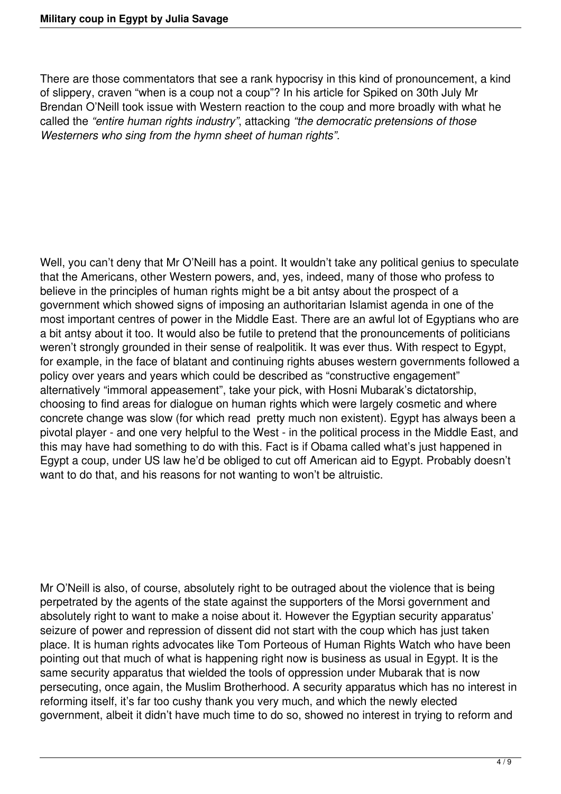There are those commentators that see a rank hypocrisy in this kind of pronouncement, a kind of slippery, craven "when is a coup not a coup"? In his article for Spiked on 30th July Mr Brendan O'Neill took issue with Western reaction to the coup and more broadly with what he called the *"entire human rights industry"*, attacking *"the democratic pretensions of those Westerners who sing from the hymn sheet of human rights".*

Well, you can't deny that Mr O'Neill has a point. It wouldn't take any political genius to speculate that the Americans, other Western powers, and, yes, indeed, many of those who profess to believe in the principles of human rights might be a bit antsy about the prospect of a government which showed signs of imposing an authoritarian Islamist agenda in one of the most important centres of power in the Middle East. There are an awful lot of Egyptians who are a bit antsy about it too. It would also be futile to pretend that the pronouncements of politicians weren't strongly grounded in their sense of realpolitik. It was ever thus. With respect to Egypt, for example, in the face of blatant and continuing rights abuses western governments followed a policy over years and years which could be described as "constructive engagement" alternatively "immoral appeasement", take your pick, with Hosni Mubarak's dictatorship, choosing to find areas for dialogue on human rights which were largely cosmetic and where concrete change was slow (for which read pretty much non existent). Egypt has always been a pivotal player - and one very helpful to the West - in the political process in the Middle East, and this may have had something to do with this. Fact is if Obama called what's just happened in Egypt a coup, under US law he'd be obliged to cut off American aid to Egypt. Probably doesn't want to do that, and his reasons for not wanting to won't be altruistic.

Mr O'Neill is also, of course, absolutely right to be outraged about the violence that is being perpetrated by the agents of the state against the supporters of the Morsi government and absolutely right to want to make a noise about it. However the Egyptian security apparatus' seizure of power and repression of dissent did not start with the coup which has just taken place. It is human rights advocates like Tom Porteous of Human Rights Watch who have been pointing out that much of what is happening right now is business as usual in Egypt. It is the same security apparatus that wielded the tools of oppression under Mubarak that is now persecuting, once again, the Muslim Brotherhood. A security apparatus which has no interest in reforming itself, it's far too cushy thank you very much, and which the newly elected government, albeit it didn't have much time to do so, showed no interest in trying to reform and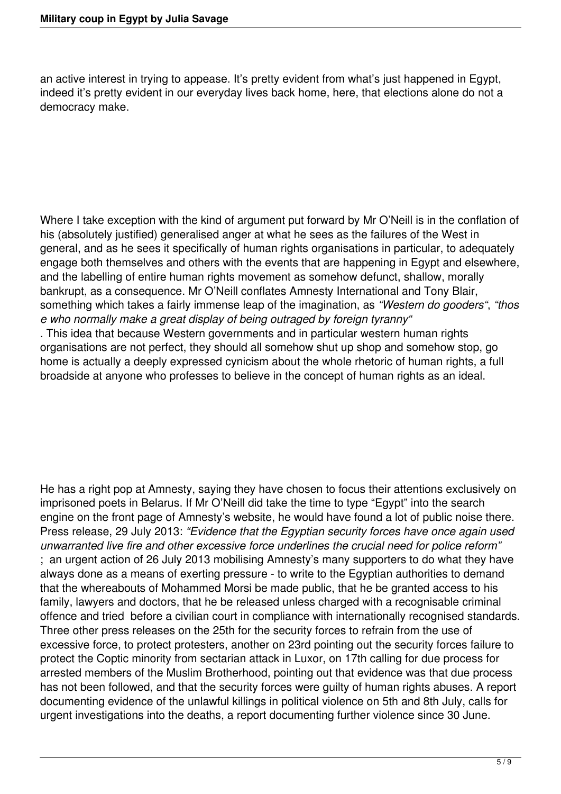an active interest in trying to appease. It's pretty evident from what's just happened in Egypt, indeed it's pretty evident in our everyday lives back home, here, that elections alone do not a democracy make.

Where I take exception with the kind of argument put forward by Mr O'Neill is in the conflation of his (absolutely justified) generalised anger at what he sees as the failures of the West in general, and as he sees it specifically of human rights organisations in particular, to adequately engage both themselves and others with the events that are happening in Egypt and elsewhere, and the labelling of entire human rights movement as somehow defunct, shallow, morally bankrupt, as a consequence. Mr O'Neill conflates Amnesty International and Tony Blair, something which takes a fairly immense leap of the imagination, as *"Western do gooders"*, *"thos e who normally make a great display of being outraged by foreign tyranny"* . This idea that because Western governments and in particular western human rights organisations are not perfect, they should all somehow shut up shop and somehow stop, go home is actually a deeply expressed cynicism about the whole rhetoric of human rights, a full

broadside at anyone who professes to believe in the concept of human rights as an ideal.

He has a right pop at Amnesty, saying they have chosen to focus their attentions exclusively on imprisoned poets in Belarus. If Mr O'Neill did take the time to type "Egypt" into the search engine on the front page of Amnesty's website, he would have found a lot of public noise there. Press release, 29 July 2013: *"Evidence that the Egyptian security forces have once again used unwarranted live fire and other excessive force underlines the crucial need for police reform"* ; an urgent action of 26 July 2013 mobilising Amnesty's many supporters to do what they have always done as a means of exerting pressure - to write to the Egyptian authorities to demand that the whereabouts of Mohammed Morsi be made public, that he be granted access to his family, lawyers and doctors, that he be released unless charged with a recognisable criminal offence and tried before a civilian court in compliance with internationally recognised standards. Three other press releases on the 25th for the security forces to refrain from the use of excessive force, to protect protesters, another on 23rd pointing out the security forces failure to protect the Coptic minority from sectarian attack in Luxor, on 17th calling for due process for arrested members of the Muslim Brotherhood, pointing out that evidence was that due process has not been followed, and that the security forces were guilty of human rights abuses. A report documenting evidence of the unlawful killings in political violence on 5th and 8th July, calls for urgent investigations into the deaths, a report documenting further violence since 30 June.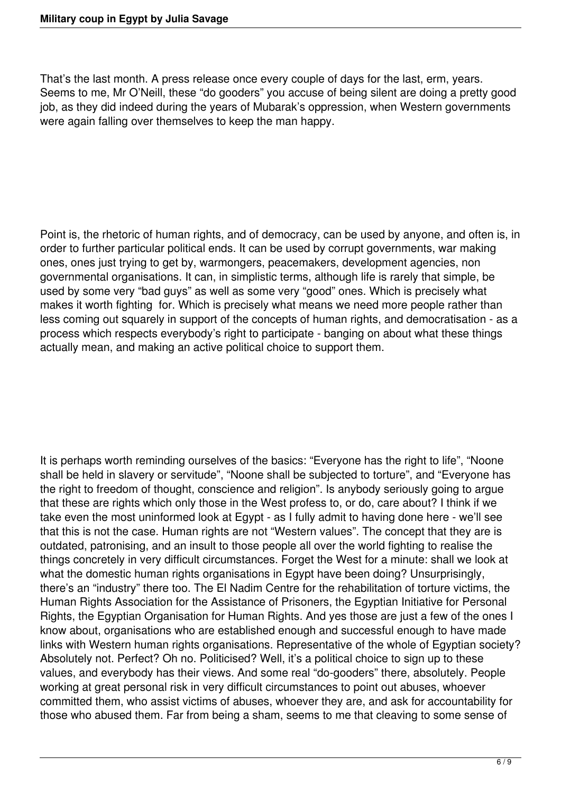That's the last month. A press release once every couple of days for the last, erm, years. Seems to me, Mr O'Neill, these "do gooders" you accuse of being silent are doing a pretty good job, as they did indeed during the years of Mubarak's oppression, when Western governments were again falling over themselves to keep the man happy.

Point is, the rhetoric of human rights, and of democracy, can be used by anyone, and often is, in order to further particular political ends. It can be used by corrupt governments, war making ones, ones just trying to get by, warmongers, peacemakers, development agencies, non governmental organisations. It can, in simplistic terms, although life is rarely that simple, be used by some very "bad guys" as well as some very "good" ones. Which is precisely what makes it worth fighting for. Which is precisely what means we need more people rather than less coming out squarely in support of the concepts of human rights, and democratisation - as a process which respects everybody's right to participate - banging on about what these things actually mean, and making an active political choice to support them.

It is perhaps worth reminding ourselves of the basics: "Everyone has the right to life", "Noone shall be held in slavery or servitude", "Noone shall be subjected to torture", and "Everyone has the right to freedom of thought, conscience and religion". Is anybody seriously going to argue that these are rights which only those in the West profess to, or do, care about? I think if we take even the most uninformed look at Egypt - as I fully admit to having done here - we'll see that this is not the case. Human rights are not "Western values". The concept that they are is outdated, patronising, and an insult to those people all over the world fighting to realise the things concretely in very difficult circumstances. Forget the West for a minute: shall we look at what the domestic human rights organisations in Egypt have been doing? Unsurprisingly, there's an "industry" there too. The El Nadim Centre for the rehabilitation of torture victims, the Human Rights Association for the Assistance of Prisoners, the Egyptian Initiative for Personal Rights, the Egyptian Organisation for Human Rights. And yes those are just a few of the ones I know about, organisations who are established enough and successful enough to have made links with Western human rights organisations. Representative of the whole of Egyptian society? Absolutely not. Perfect? Oh no. Politicised? Well, it's a political choice to sign up to these values, and everybody has their views. And some real "do-gooders" there, absolutely. People working at great personal risk in very difficult circumstances to point out abuses, whoever committed them, who assist victims of abuses, whoever they are, and ask for accountability for those who abused them. Far from being a sham, seems to me that cleaving to some sense of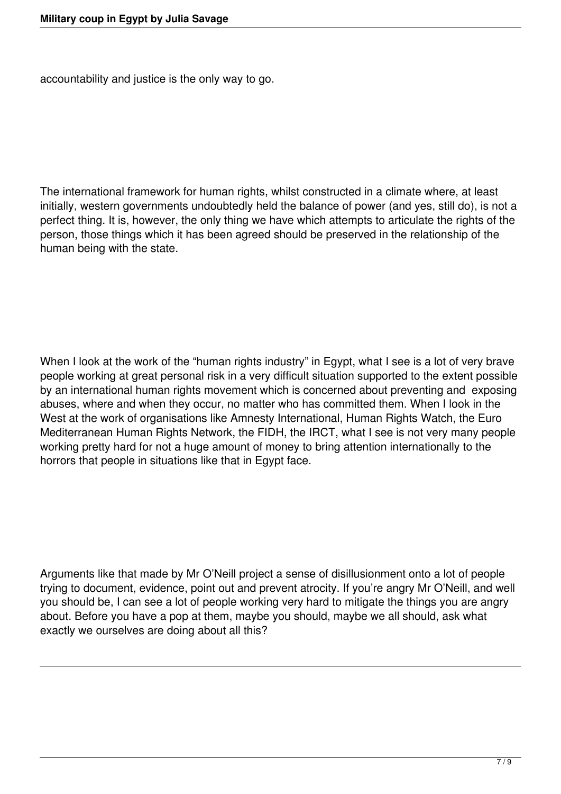accountability and justice is the only way to go.

The international framework for human rights, whilst constructed in a climate where, at least initially, western governments undoubtedly held the balance of power (and yes, still do), is not a perfect thing. It is, however, the only thing we have which attempts to articulate the rights of the person, those things which it has been agreed should be preserved in the relationship of the human being with the state.

When I look at the work of the "human rights industry" in Egypt, what I see is a lot of very brave people working at great personal risk in a very difficult situation supported to the extent possible by an international human rights movement which is concerned about preventing and exposing abuses, where and when they occur, no matter who has committed them. When I look in the West at the work of organisations like Amnesty International, Human Rights Watch, the Euro Mediterranean Human Rights Network, the FIDH, the IRCT, what I see is not very many people working pretty hard for not a huge amount of money to bring attention internationally to the horrors that people in situations like that in Egypt face.

Arguments like that made by Mr O'Neill project a sense of disillusionment onto a lot of people trying to document, evidence, point out and prevent atrocity. If you're angry Mr O'Neill, and well you should be, I can see a lot of people working very hard to mitigate the things you are angry about. Before you have a pop at them, maybe you should, maybe we all should, ask what exactly we ourselves are doing about all this?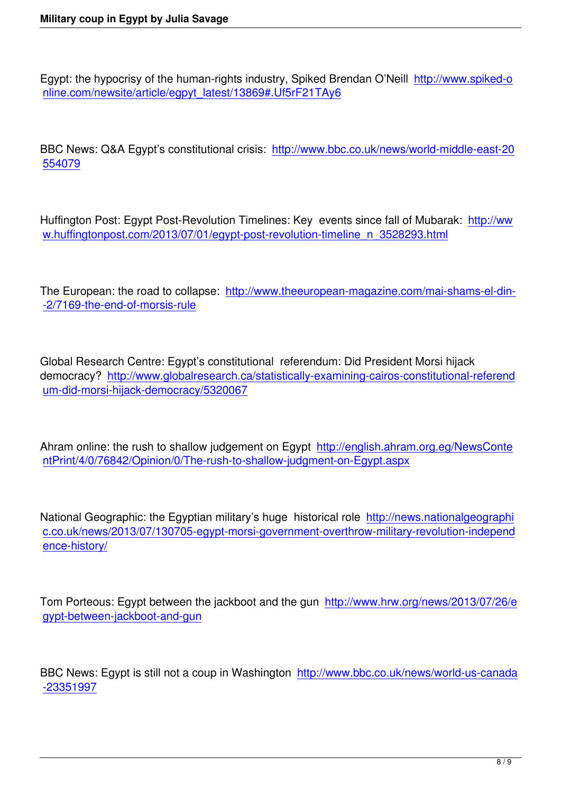Egypt: the hypocrisy of the human-rights industry, Spiked Brendan O'Neill http://www.spiked-o nline.com/newsite/article/egpyt\_latest/13869#.Uf5rF21TAy6

[BBC News: Q&A Egypt's constitutional crisis: http://www.bbc](http://www.spiked-online.com/newsite/article/egpyt_latest/13869#.Uf5rF21TAy6).co.uk/news/world-middle-east-20 554079

[Huffingto](http://www.bbc.co.uk/news/world-middle-east-20554079)n Post: Egypt Post-Revolution Timelines: Key events since fall of Mubarak: http://ww w.huffingtonpost.com/2013/07/01/egypt-post-revolution-timeline\_n\_3528293.html

[The European: the road to collapse: http://www.theeuropean-magazine.com/mai-s](http://www.huffingtonpost.com/2013/07/01/egypt-post-revolution-timeline_n_3528293.html)hams-el-din--2/7169-the-end-of-morsis-rule

[Global Research Centre: Egypt](http://www.theeuropean-magazine.com/mai-shams-el-din--2/7169-the-end-of-morsis-rule)'s constitutional referendum: Did President Morsi hijack democracy? http://www.globalresearch.ca/statistically-examining-cairos-constitutional-referend um-did-morsi-hijack-democracy/5320067

[Ahram online: the rush to shallow judgeme](http://www.globalresearch.ca/statistically-examining-cairos-constitutional-referendum-did-morsi-hijack-democracy/5320067)nt on Egypt http://english.ahram.org.eg/NewsConte ntPrint/4/0/76842/Opinion/0/The-rush-to-shallow-judgment-on-Egypt.aspx

[National Geographic: the Egyptian military's huge historical role http://new](http://english.ahram.org.eg/NewsContentPrint/4/0/76842/Opinion/0/The-rush-to-shallow-judgment-on-Egypt.aspx)s.nationalgeographi c.co.uk/news/2013/07/130705-egypt-morsi-government-overthrow-military-revolution-independ ence-history/

[Tom Porteous](http://news.nationalgeographic.co.uk/news/2013/07/130705-egypt-morsi-government-overthrow-military-revolution-independence-history/): Egypt between the jackboot and the gun http://www.hrw.org/news/2013/07/26/e gypt-between-jackboot-and-gun

[BBC News: Egypt is still not a co](http://www.hrw.org/news/2013/07/26/egypt-between-jackboot-and-gun)up in Washington http://www.bbc.co.uk/news/world-us-canada -23351997